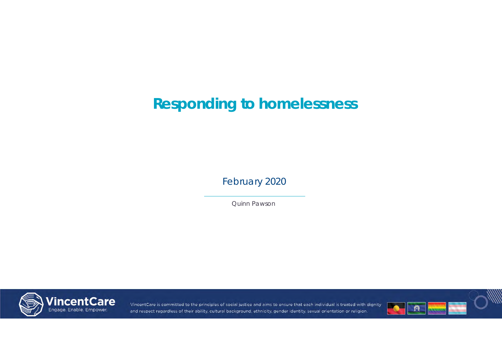February 2020

Quinn Pawson



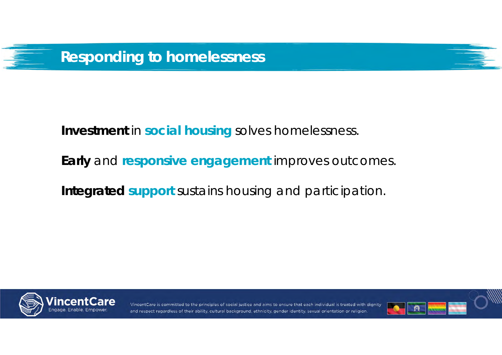

**Investment** in **social housing** solves homelessness.

**Early** and **responsive engagement** improves outcomes.

**Integrated support** sustains housing and participation.



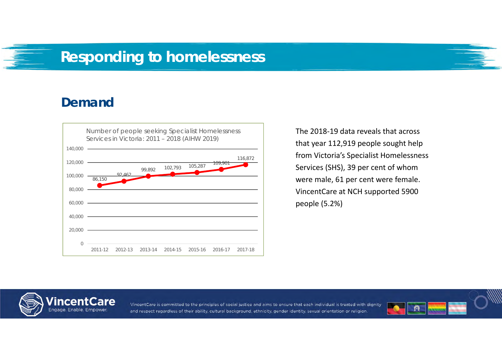#### **Demand**



The 2018‐19 data reveals that across that year 112,919 people sought help from Victoria's Specialist Homelessness Services (SHS), 39 per cent of whom were male, 61 per cent were female. VincentCare at NCH supported 5900 people (5.2%)



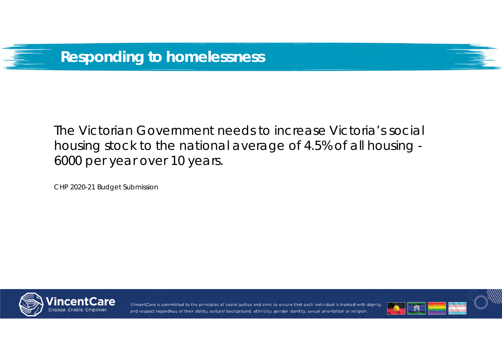



CHP 2020-21 Budget Submission



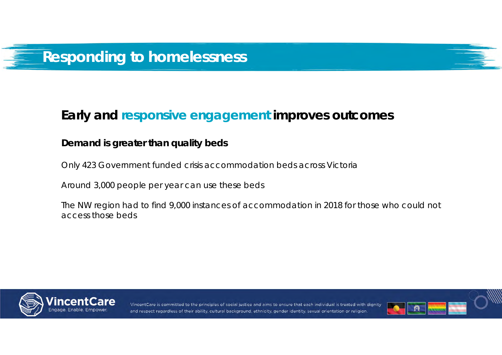#### **Demand is greater than quality beds**

Only 423 Government funded crisis accommodation beds across Victoria

Around 3,000 people per year can use these beds

The NW region had to find 9,000 instances of accommodation in 2018 for those who could not access those beds



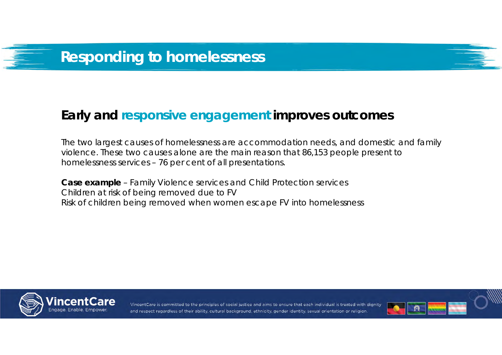The two largest causes of homelessness are accommodation needs, and domestic and family violence. These two causes alone are the main reason that 86,153 people present to homelessness services – 76 per cent of all presentations.

**Case example** – Family Violence services and Child Protection services Children at risk of being removed due to FV Risk of children being removed when women escape FV into homelessness



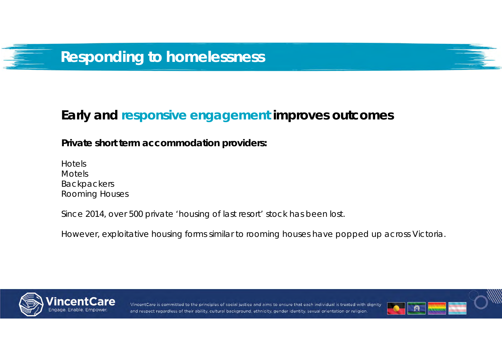**Private short term accommodation providers:**

HotelsMotels Backpackers Rooming Houses

Since 2014, over 500 private 'housing of last resort' stock has been lost.

However, exploitative housing forms similar to rooming houses have popped up across Victoria.



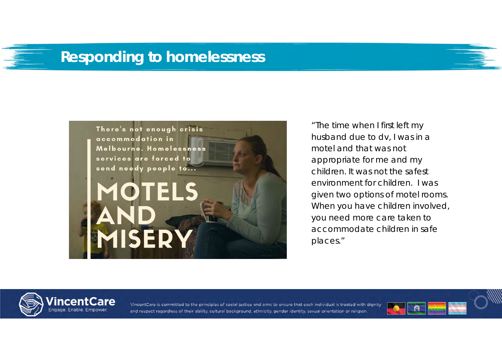

*"The time when I first left my husband due to dv, I was in a motel and that was not appropriate for me and my children. It was not the safest environment for children. I was given two options of motel rooms. When you have children involved, you need more care taken to accommodate children in safe places."*



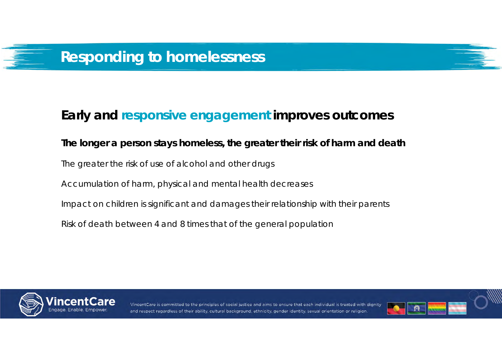# **The longer a person stays homeless, the greater their risk of harm and death** The greater the risk of use of alcohol and other drugs Accumulation of harm, physical and mental health decreases Impact on children is significant and damages their relationship with their parents Risk of death between 4 and 8 times that of the general population



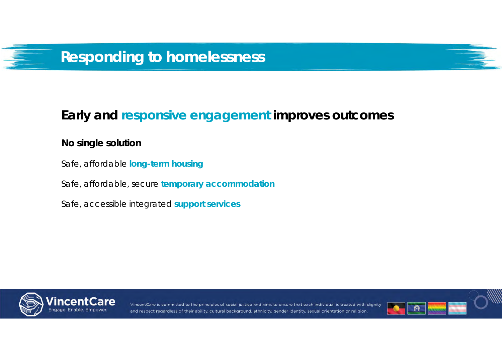#### **No single solution**

Safe, affordable **long-term housing**

Safe, affordable, secure **temporary accommodation**

Safe, accessible integrated **support services**



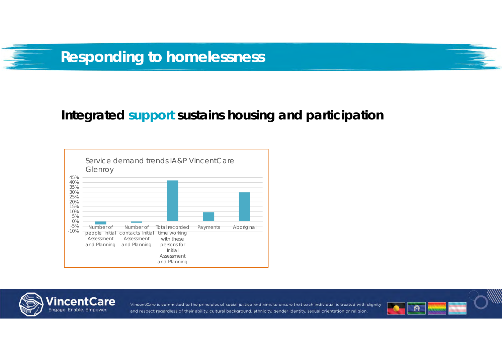



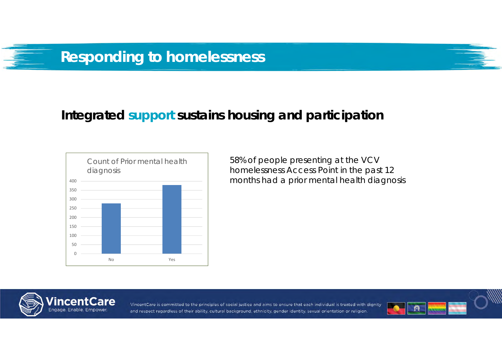

58% of people presenting at the VCV homelessness Access Point in the past 12 months had a prior mental health diagnosis



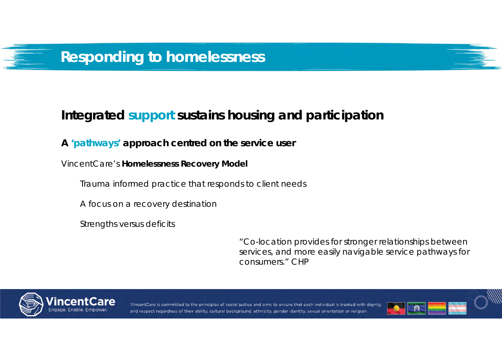#### **A 'pathways' approach centred on the service user**

VincentCare's **Homelessness Recovery Model**

Trauma informed practice that responds to client needs

A focus on a recovery destination

Strengths versus deficits

*"Co-location provides for stronger relationships between services, and more easily navigable service pathways for consumers."* CHP



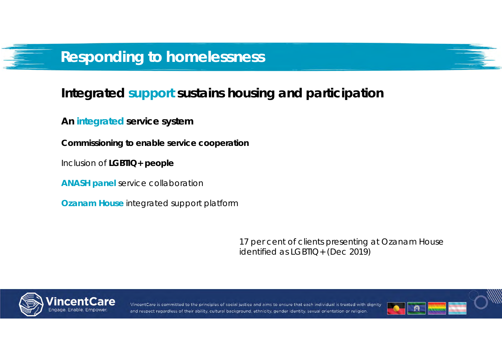### **Integrated support sustains housing and participation**

**An integrated service system**

**Commissioning to enable service cooperation**

Inclusion of **LGBTIQ+ people**

**ANASH panel** service collaboration

**Ozanam House** integrated support platform

*17 per cent of clients presenting at Ozanam House identified as LGBTIQ+ (Dec 2019)*